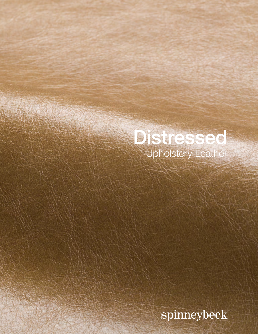## Distressed Upholstery Leather

spinneybeck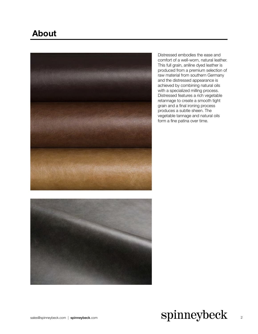## **About**



Distressed embodies the ease and comfort of a well-worn, natural leather. This full grain, aniline dyed leather is produced from a premium selection of raw material from southern Germany and the distressed appearance is achieved by combining natural oils with a specialized milling process. Distressed features a rich vegetable retannage to create a smooth tight grain and a final ironing process produces a subtle sheen. The vegetable tannage and natural oils form a fine patina over time.



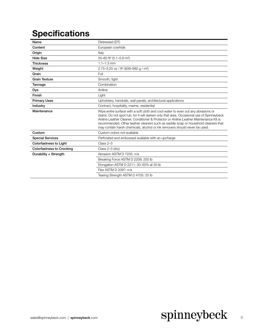## **Specifications**

| Name                             | Distressed (DT)                                                                                                                                                                                                                                                                                                                                                                                                                              |
|----------------------------------|----------------------------------------------------------------------------------------------------------------------------------------------------------------------------------------------------------------------------------------------------------------------------------------------------------------------------------------------------------------------------------------------------------------------------------------------|
| Content                          | European cowhide                                                                                                                                                                                                                                                                                                                                                                                                                             |
| Origin                           | Italy                                                                                                                                                                                                                                                                                                                                                                                                                                        |
| <b>Hide Size</b>                 | 55-60 ft <sup>2</sup> (5.1-5.6 m <sup>2</sup> )                                                                                                                                                                                                                                                                                                                                                                                              |
| <b>Thickness</b>                 | $1.1 - 1.3$ mm                                                                                                                                                                                                                                                                                                                                                                                                                               |
| Weight                           | 2.75-3.25 oz / ft <sup>2</sup> (839-992 g / m <sup>2</sup> )                                                                                                                                                                                                                                                                                                                                                                                 |
| Grain                            | Full                                                                                                                                                                                                                                                                                                                                                                                                                                         |
| <b>Grain Texture</b>             | Smooth, tight                                                                                                                                                                                                                                                                                                                                                                                                                                |
| Tannage                          | Combination                                                                                                                                                                                                                                                                                                                                                                                                                                  |
| Dye                              | Aniline                                                                                                                                                                                                                                                                                                                                                                                                                                      |
| Finish                           | Light                                                                                                                                                                                                                                                                                                                                                                                                                                        |
| <b>Primary Uses</b>              | Upholstery, handrails, wall panels, architectural applications                                                                                                                                                                                                                                                                                                                                                                               |
| Industry                         | Contract, hospitality, marine, residential                                                                                                                                                                                                                                                                                                                                                                                                   |
| Maintenance                      | Wipe entire surface with a soft cloth and cool water to even out any abrasions or<br>stains. Do not spot rub, for it will darken only that area. Occasional use of Spinneybeck<br>Aniline Leather Cleaner, Conditioner & Protector or Aniline Leather Maintenance Kit is<br>recommended. Other leather cleaners such as saddle soap or household cleaners that<br>may contain harsh chemicals, alcohol or ink removers should never be used. |
| Custom                           | Custom colors not available                                                                                                                                                                                                                                                                                                                                                                                                                  |
| <b>Special Services</b>          | Perforated and embossed available with an upcharge                                                                                                                                                                                                                                                                                                                                                                                           |
| <b>Colorfastness to Light</b>    | $Class 2-3$                                                                                                                                                                                                                                                                                                                                                                                                                                  |
| <b>Colorfastness to Crocking</b> | Class $2-3$ (dry)                                                                                                                                                                                                                                                                                                                                                                                                                            |
| Durability + Strength            | Abrasion ASTM D 7255: n/a                                                                                                                                                                                                                                                                                                                                                                                                                    |
|                                  | Breaking Force ASTM D 2208: 200 lb                                                                                                                                                                                                                                                                                                                                                                                                           |
|                                  | Elongation ASTM D 2211: 30-50% at 50 lb                                                                                                                                                                                                                                                                                                                                                                                                      |
|                                  | Flex ASTM D 2097: n/a                                                                                                                                                                                                                                                                                                                                                                                                                        |
|                                  | Tearing Strength ASTM D 4705: 25 lb                                                                                                                                                                                                                                                                                                                                                                                                          |